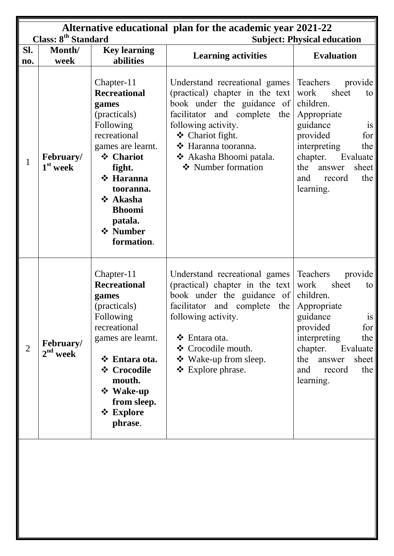| Class: 8 <sup>th</sup> Standard |                                |                                                                                                                                                                                                                                 | Alternative educational plan for the academic year 2021-22<br><b>Subject: Physical education</b>                                                                                                                                                         |                                                                                                                                                                                                                               |
|---------------------------------|--------------------------------|---------------------------------------------------------------------------------------------------------------------------------------------------------------------------------------------------------------------------------|----------------------------------------------------------------------------------------------------------------------------------------------------------------------------------------------------------------------------------------------------------|-------------------------------------------------------------------------------------------------------------------------------------------------------------------------------------------------------------------------------|
| SI.<br>no.                      | Month/<br>week                 | <b>Key learning</b><br>abilities                                                                                                                                                                                                | <b>Learning activities</b>                                                                                                                                                                                                                               | <b>Evaluation</b>                                                                                                                                                                                                             |
| $\mathbf{1}$                    | <b>February/</b><br>$1st$ week | Chapter-11<br><b>Recreational</b><br>games<br>(practicals)<br>Following<br>recreational<br>games are learnt.<br>❖ Chariot<br>fight.<br>❖ Haranna<br>tooranna.<br>❖ Akasha<br><b>Bhoomi</b><br>patala.<br>❖ Number<br>formation. | Understand recreational games<br>(practical) chapter in the text<br>book under the guidance of<br>facilitator and complete the<br>following activity.<br>❖ Chariot fight.<br>* Haranna tooranna.<br>* Akasha Bhoomi patala.<br>❖ Number formation        | Teachers<br>provide<br>sheet<br>work<br>to<br>children.<br>Appropriate<br>guidance<br>is<br>provided<br>for  <br>interpreting<br>the<br>chapter.<br>Evaluate<br>the<br>sheet<br>answer<br>the<br>and<br>record<br>learning.   |
| $\overline{2}$                  | February/<br>$2nd$ week        | Chapter-11<br><b>Recreational</b><br>games<br>(practicals)<br>Following<br>recreational<br>games are learnt.<br>❖ Entara ota.<br>❖ Crocodile<br>mouth.<br>❖ Wake-up<br>from sleep.<br>$\div$ Explore<br>phrase.                 | Understand recreational games<br>(practical) chapter in the text<br>book under the guidance of<br>facilitator and complete the<br>following activity.<br>$\triangleleft$ Entara ota.<br>❖ Crocodile mouth.<br>❖ Wake-up from sleep.<br>❖ Explore phrase. | Teachers<br>provide<br>sheet<br>work<br>to<br>children.<br>Appropriate<br>guidance<br>1S<br>provided<br>for  <br>interpreting<br>the<br>chapter.<br>Evaluate<br>the<br>sheet<br>answer<br>the  <br>and<br>record<br>learning. |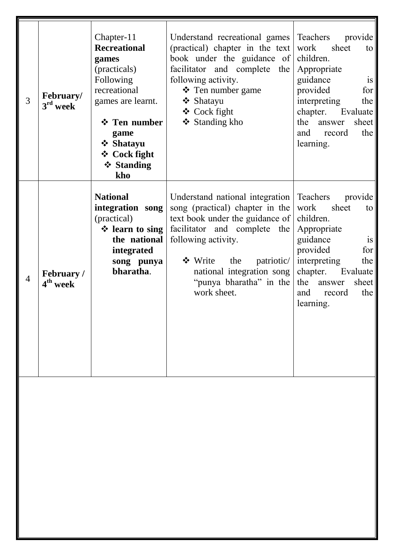| 3              | February/<br>$3rd$ week                   | Chapter-11<br><b>Recreational</b><br>games<br>(practicals)<br>Following<br>recreational<br>games are learnt.<br>❖ Ten number<br>game<br>❖ Shatayu<br>❖ Cock fight<br>❖ Standing<br>kho | Understand recreational games<br>(practical) chapter in the text<br>book under the guidance of<br>facilitator and complete<br>the<br>following activity.<br>$\mathbf{\hat{P}}$ Ten number game<br>❖ Shatayu<br>$\triangleleft$ Cock fight<br>❖ Standing kho         | Teachers<br>provide<br>work<br>sheet<br>to<br>children.<br>Appropriate<br>guidance<br>is<br>provided<br>for<br>interpreting<br>the<br>chapter.<br>Evaluate<br>the<br>sheet<br>answer<br>the<br>and<br>record<br>learning.              |
|----------------|-------------------------------------------|----------------------------------------------------------------------------------------------------------------------------------------------------------------------------------------|---------------------------------------------------------------------------------------------------------------------------------------------------------------------------------------------------------------------------------------------------------------------|----------------------------------------------------------------------------------------------------------------------------------------------------------------------------------------------------------------------------------------|
| $\overline{4}$ | <b>February</b> /<br>4 <sup>th</sup> week | <b>National</b><br>integration song<br>(practical)<br>$\div$ learn to sing<br>the national<br>integrated<br>song punya<br>bharatha.                                                    | Understand national integration<br>song (practical) chapter in the<br>text book under the guidance of<br>facilitator and complete the<br>following activity.<br>❖ Write<br>patriotic/<br>the<br>national integration song<br>"punya bharatha" in the<br>work sheet. | Teachers<br>provide<br>sheet<br>work<br>to<br>children.<br>Appropriate<br>guidance<br>$\overline{1}S$<br>provided<br>for<br>interpreting<br>the<br>chapter.<br>Evaluate<br>the<br>sheet<br>answer<br>the<br>and<br>record<br>learning. |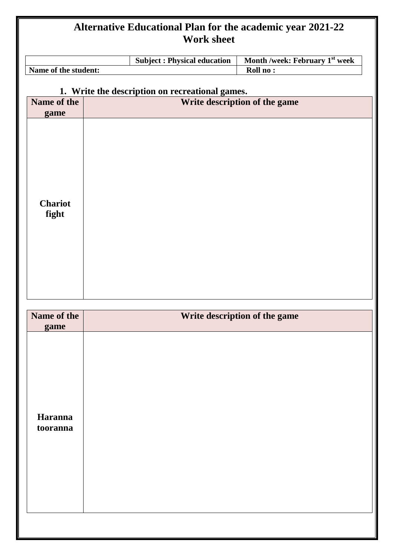|                         | <b>Subject: Physical education</b>              | Month /week: February 1st week |
|-------------------------|-------------------------------------------------|--------------------------------|
| Name of the student:    |                                                 | Roll no:                       |
|                         | 1. Write the description on recreational games. |                                |
| Name of the<br>game     | Write description of the game                   |                                |
| <b>Chariot</b><br>fight |                                                 |                                |

| Name of the<br>game | Write description of the game |
|---------------------|-------------------------------|
| Haranna<br>tooranna |                               |
|                     |                               |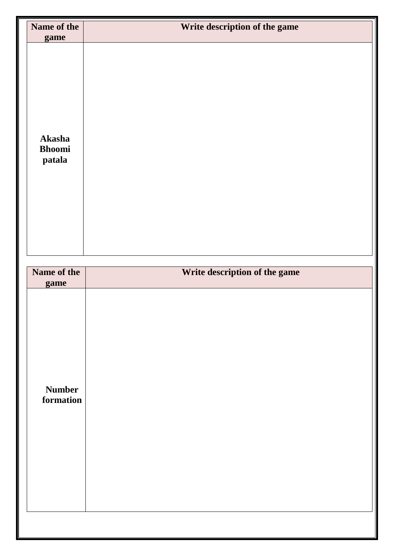| Name of the<br>game               | Write description of the game |
|-----------------------------------|-------------------------------|
| Akasha<br><b>Bhoomi</b><br>patala |                               |
| Name of the                       | Write description of the game |
| game                              |                               |
| <b>Number</b><br>formation        |                               |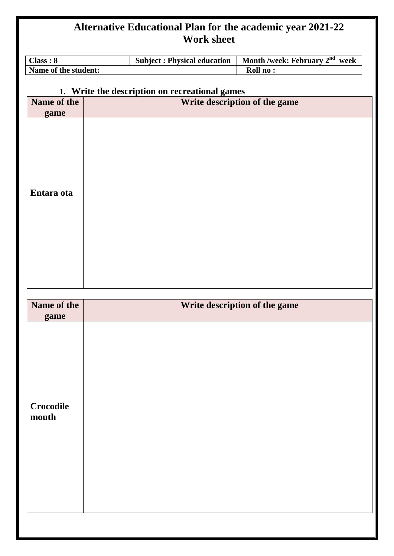| Class: 8             |  | <b>Subject: Physical education</b>             | Month /week: February 2 <sup>nd</sup> week |
|----------------------|--|------------------------------------------------|--------------------------------------------|
| Name of the student: |  |                                                | Roll no:                                   |
|                      |  | 1. Write the description on recreational games |                                            |
| Name of the<br>game  |  |                                                | Write description of the game              |
| Entara ota           |  |                                                |                                            |
| Name of the<br>game  |  |                                                | Write description of the game              |
|                      |  |                                                |                                            |

| THAIR OF AIR<br>game      | White about plant of the game |
|---------------------------|-------------------------------|
|                           |                               |
| <b>Crocodile</b><br>mouth |                               |
|                           |                               |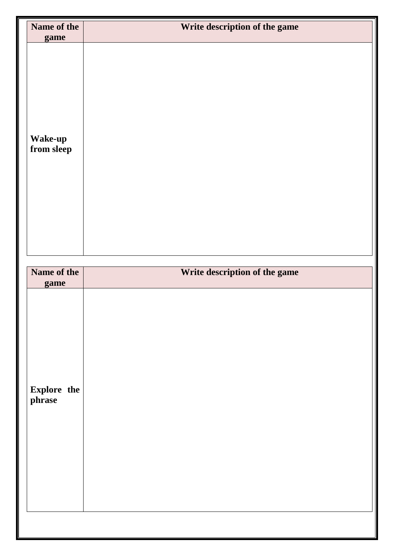| Name of the                   | Write description of the game |
|-------------------------------|-------------------------------|
| game<br>Wake-up<br>from sleep |                               |
| Name of the                   | Write description of the game |
| game                          |                               |
| Explore the<br>phrase         |                               |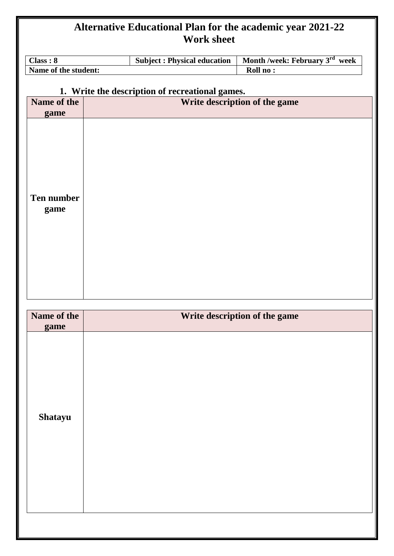| <b>Subject: Physical education</b><br>Class: 8 |                                                 | Month /week: February 3rd<br>week |  |
|------------------------------------------------|-------------------------------------------------|-----------------------------------|--|
| Name of the student:<br>Roll no:               |                                                 |                                   |  |
|                                                | 1. Write the description of recreational games. |                                   |  |
| Name of the<br>game                            |                                                 | Write description of the game     |  |
| <b>Ten number</b><br>game                      |                                                 |                                   |  |

| Name of the<br>game | Write description of the game |
|---------------------|-------------------------------|
| Shatayu             |                               |
|                     |                               |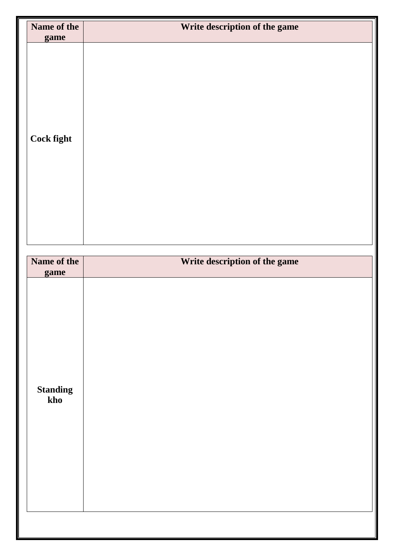| Name of the            | Write description of the game |  |
|------------------------|-------------------------------|--|
| game<br>Cock fight     |                               |  |
| Name of the            | Write description of the game |  |
| game                   |                               |  |
| <b>Standing</b><br>kho |                               |  |